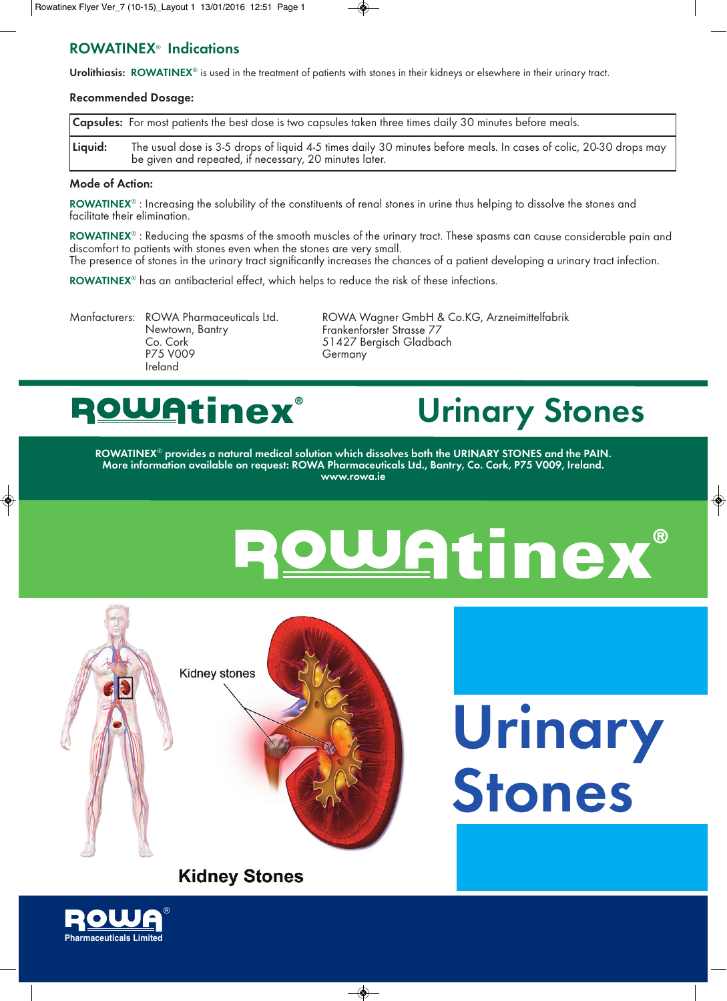### **ROWATINEX**® **Indications**

**Urolithiasis: ROWATINEX**® is used in the treatment of patients with stones in their kidneys or elsewhere in their urinary tract.

#### **Recommended Dosage:**

|         | <b>Capsules:</b> For most patients the best dose is two capsules taken three times daily 30 minutes before meals.                                                           |
|---------|-----------------------------------------------------------------------------------------------------------------------------------------------------------------------------|
| Liquid: | The usual dose is 3-5 drops of liquid 4-5 times daily 30 minutes before meals. In cases of colic, 20-30 drops may<br>be given and repeated, if necessary, 20 minutes later. |

#### **Mode of Action:**

**ROWATINEX**® : Increasing the solubility of the constituents of renal stones in urine thus helping to dissolve the stones and facilitate their elimination.

**ROWATINEX**® : Reducing the spasms of the smooth muscles of the urinary tract. These spasms can cause considerable pain and discomfort to patients with stones even when the stones are very small. The presence of stones in the urinary tract significantly increases the chances of a patient developing a urinary tract infection.

**ROWATINEX**® has an antibacterial effect, which helps to reduce the risk of these infections.

Newtown, Bantry Frankenforster Strasse 77<br>Co. Cork 61427 Bergisch Gladba Co. Cork 51427 Bergisch Gladbach Ireland

Manfacturers: ROWA Pharmaceuticals Ltd. ROWA Wagner GmbH & Co.KG, Arzneimittelfabrik **Germany** 

### **tinex®**

## **Urinary Stones**

 $\bigoplus$ 

**Urinary**

**Stones**

**ROWATINEX**® **provides <sup>a</sup> natural medical solution which dissolves both the URINARY STONES and the PAIN. More information available on request: ROWA Pharmaceuticals Ltd., Bantry, Co. Cork, P75 V009, Ireland. www.rowa.ie**

◈

# Watinex®



#### **Kidney Stones**

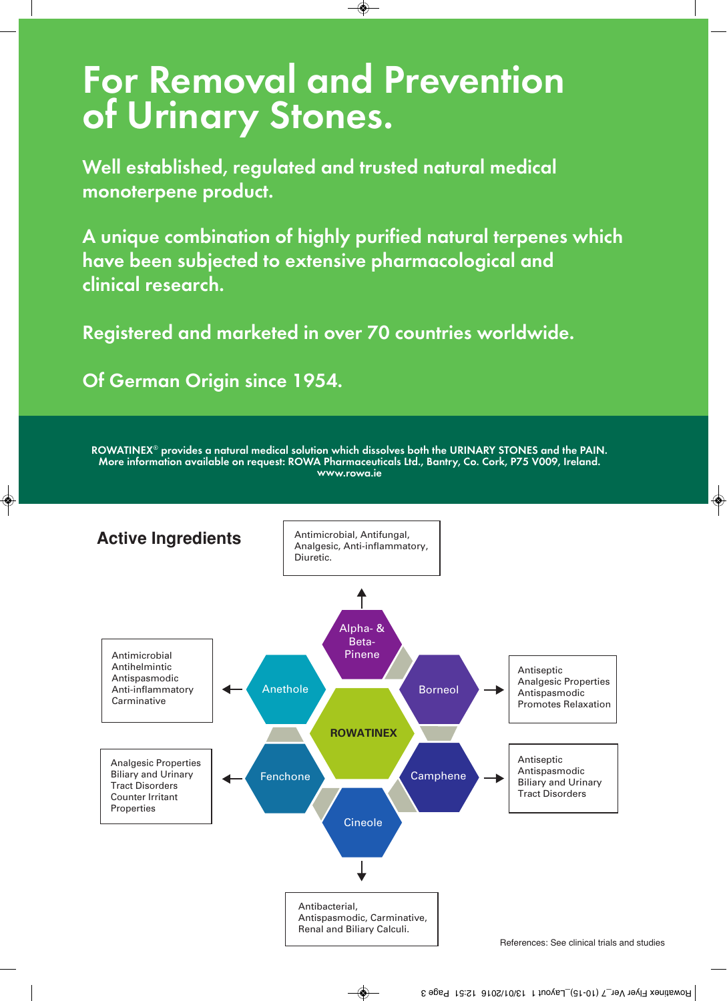# **For Removal and Prevention of Urinary Stones.**

 $\circledast$ 

**Well established, regulated and trusted natural medical monoterpene product.**

**<sup>A</sup> unique combination of highly purified natural terpenes which have been subjected to extensive <sup>p</sup>harmacological and clinical research.**

**Registered and marketed in over 70 countries worldwide.**

**Of German Origin since 1954.**

**ROWATINEX**® **provides <sup>a</sup> natural medical solution which dissolves both the URINARY STONES and the PAIN. More information available on request: ROWA Pharmaceuticals Ltd., Bantry, Co. Cork, P75 V009, Ireland. www.rowa.ie**



۱